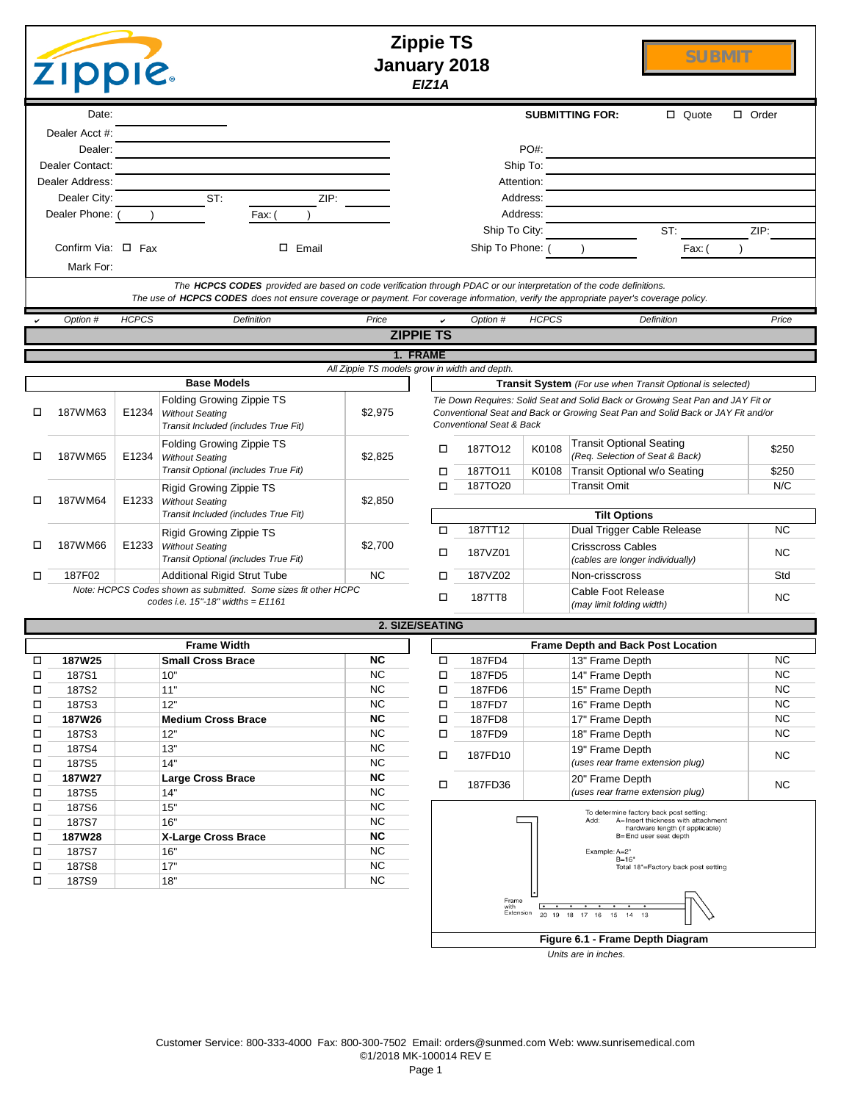|        | <b>ZIPPIE.</b>          |              |                                                                                                                     |         |                 | <b>Zippie TS</b><br><b>January 2018</b><br>EIZ1A |                                               |                | <b>SUBMIT</b>                                                                                                                                                      |                |
|--------|-------------------------|--------------|---------------------------------------------------------------------------------------------------------------------|---------|-----------------|--------------------------------------------------|-----------------------------------------------|----------------|--------------------------------------------------------------------------------------------------------------------------------------------------------------------|----------------|
|        | Date:                   |              |                                                                                                                     |         |                 |                                                  |                                               |                | <b>SUBMITTING FOR:</b><br>□ Quote                                                                                                                                  | $\Box$ Order   |
|        | Dealer Acct #:          |              |                                                                                                                     |         |                 |                                                  |                                               |                |                                                                                                                                                                    |                |
|        | Dealer:                 |              |                                                                                                                     |         |                 |                                                  |                                               | PO#:           |                                                                                                                                                                    |                |
|        | Dealer Contact:         |              |                                                                                                                     |         |                 |                                                  |                                               | Ship To:       |                                                                                                                                                                    |                |
|        | Dealer Address:         |              |                                                                                                                     |         |                 |                                                  |                                               | Attention:     |                                                                                                                                                                    |                |
|        | Dealer City:            |              | ST:                                                                                                                 | ZIP:    |                 |                                                  |                                               | Address:       |                                                                                                                                                                    |                |
|        | Dealer Phone: (         |              | Fax: (                                                                                                              |         |                 |                                                  |                                               | Address:       |                                                                                                                                                                    |                |
|        |                         |              |                                                                                                                     |         |                 |                                                  | Ship To City:                                 |                | ST:                                                                                                                                                                | ZIP:           |
|        | Confirm Via: $\Box$ Fax |              |                                                                                                                     | □ Email |                 |                                                  | Ship To Phone: (                              |                | Fax: (                                                                                                                                                             |                |
|        | Mark For:               |              |                                                                                                                     |         |                 |                                                  |                                               |                |                                                                                                                                                                    |                |
|        |                         |              | The HCPCS CODES provided are based on code verification through PDAC or our interpretation of the code definitions. |         |                 |                                                  |                                               |                | The use of HCPCS CODES does not ensure coverage or payment. For coverage information, verify the appropriate payer's coverage policy.                              |                |
|        | Option #                | <b>HCPCS</b> | <b>Definition</b>                                                                                                   |         | Price           |                                                  | Option #                                      | <b>HCPCS</b>   | Definition                                                                                                                                                         | Price          |
|        |                         |              |                                                                                                                     |         |                 | <b>ZIPPIE TS</b>                                 |                                               |                |                                                                                                                                                                    |                |
|        |                         |              |                                                                                                                     |         |                 | 1. FRAME                                         |                                               |                |                                                                                                                                                                    |                |
|        |                         |              |                                                                                                                     |         |                 |                                                  | All Zippie TS models grow in width and depth. |                |                                                                                                                                                                    |                |
|        |                         |              | <b>Base Models</b>                                                                                                  |         |                 |                                                  |                                               |                | <b>Transit System</b> (For use when Transit Optional is selected)                                                                                                  |                |
| □      | 187WM63                 | E1234        | Folding Growing Zippie TS<br><b>Without Seating</b><br>Transit Included (includes True Fit)                         |         | \$2,975         |                                                  | Conventional Seat & Back                      |                | Tie Down Requires: Solid Seat and Solid Back or Growing Seat Pan and JAY Fit or<br>Conventional Seat and Back or Growing Seat Pan and Solid Back or JAY Fit and/or |                |
| □      | 187WM65                 | E1234        | Folding Growing Zippie TS<br><b>Without Seating</b><br>Transit Optional (includes True Fit)                         |         | \$2,825         | □                                                | 187TO12                                       | K0108<br>K0108 | <b>Transit Optional Seating</b><br>(Req. Selection of Seat & Back)                                                                                                 | \$250<br>\$250 |
|        |                         |              | Rigid Growing Zippie TS                                                                                             |         |                 | □<br>□                                           | 187TO11<br>187TO <sub>20</sub>                |                | Transit Optional w/o Seating<br><b>Transit Omit</b>                                                                                                                | N/C            |
| □      | 187WM64                 |              | E1233   Without Seating                                                                                             |         | \$2,850         |                                                  |                                               |                |                                                                                                                                                                    |                |
|        |                         |              | Transit Included (includes True Fit)                                                                                |         |                 |                                                  |                                               |                | <b>Tilt Options</b>                                                                                                                                                |                |
|        |                         |              | <b>Rigid Growing Zippie TS</b>                                                                                      |         |                 | □                                                | 187TT12                                       |                | Dual Trigger Cable Release                                                                                                                                         | NC.            |
| □      | 187WM66                 | E1233        | <b>Without Seating</b><br>Transit Optional (includes True Fit)                                                      |         | \$2,700         | □                                                | 187VZ01                                       |                | <b>Crisscross Cables</b><br>(cables are longer individually)                                                                                                       | NC.            |
| □      | 187F02                  |              | Additional Rigid Strut Tube                                                                                         |         | <b>NC</b>       | □                                                | 187VZ02                                       |                | Non-crisscross                                                                                                                                                     | Std            |
|        |                         |              | Note: HCPCS Codes shown as submitted. Some sizes fit other HCPC<br>codes i.e. $15" - 18"$ widths = $E1161$          |         |                 | □                                                | <b>187TT8</b>                                 |                | Cable Foot Release<br>(may limit folding width)                                                                                                                    | NС             |
|        |                         |              |                                                                                                                     |         |                 | 2. SIZE/SEATING                                  |                                               |                |                                                                                                                                                                    |                |
|        |                         |              | <b>Frame Width</b>                                                                                                  |         |                 |                                                  |                                               |                | <b>Frame Depth and Back Post Location</b>                                                                                                                          |                |
| □      | 187W25                  |              | <b>Small Cross Brace</b>                                                                                            |         | <b>NC</b>       | П                                                | 187FD4                                        |                | 13" Frame Depth                                                                                                                                                    | NC.            |
| □      | 187S1                   |              | 10"                                                                                                                 |         | <b>NC</b>       | $\Box$                                           | 187FD5                                        |                | 14" Frame Depth                                                                                                                                                    | NC.            |
| □      | 187S2                   |              | 11"                                                                                                                 |         | <b>NC</b>       | $\Box$                                           | 187FD6                                        |                | 15" Frame Depth                                                                                                                                                    | NC.            |
| □      | 187S3                   |              | 12"                                                                                                                 |         | <b>NC</b>       | $\Box$                                           | 187FD7                                        |                | 16" Frame Depth                                                                                                                                                    | <b>NC</b>      |
| □      | 187W26                  |              | <b>Medium Cross Brace</b>                                                                                           |         | <b>NC</b>       | □                                                | 187FD8                                        |                | 17" Frame Depth                                                                                                                                                    | NC.            |
| □<br>□ | 187S3<br>187S4          |              | 12"<br>13"                                                                                                          |         | <b>NC</b><br>NC | о                                                | 187FD9                                        |                | 18" Frame Depth                                                                                                                                                    | NC             |
| □      | 187S5                   |              | 14"                                                                                                                 |         | <b>NC</b>       | о                                                | 187FD10                                       |                | 19" Frame Depth<br>(uses rear frame extension plug)                                                                                                                | <b>NC</b>      |
| □      | 187W27                  |              | <b>Large Cross Brace</b>                                                                                            |         | NC              |                                                  |                                               |                | 20" Frame Depth                                                                                                                                                    |                |
| □      | 187S5                   |              | 14"                                                                                                                 |         | $NC$            | □                                                | 187FD36                                       |                | (uses rear frame extension plug)                                                                                                                                   | <b>NC</b>      |
| □      | 187S6                   |              | 15"                                                                                                                 |         | NC              |                                                  |                                               |                | To determine factory back post setting:                                                                                                                            |                |
| □      | 187S7                   |              | 16"                                                                                                                 |         | NC              |                                                  |                                               |                | Add:<br>A= Insert thickness with attachment<br>hardware length (if applicable)                                                                                     |                |
| □      | 187W28                  |              | <b>X-Large Cross Brace</b>                                                                                          |         | NC              |                                                  |                                               |                | B=End user seat depth                                                                                                                                              |                |
| □      | 187S7                   |              | 16"                                                                                                                 |         | NC              |                                                  |                                               |                | Example: A=2"<br>$B = 16"$                                                                                                                                         |                |
| □      | 187S8                   |              | 17"                                                                                                                 |         | $NC$            |                                                  |                                               |                | Total 18"=Factory back post setting                                                                                                                                |                |
| □      | 187S9                   |              | 18"                                                                                                                 |         | $NC$            |                                                  | Frame<br>with<br>Extension                    |                | 20 19 18 17 16 15<br>14 13                                                                                                                                         |                |
|        |                         |              |                                                                                                                     |         |                 |                                                  |                                               |                | Figure 6.1 - Frame Depth Diagram                                                                                                                                   |                |

*Units are in inches.*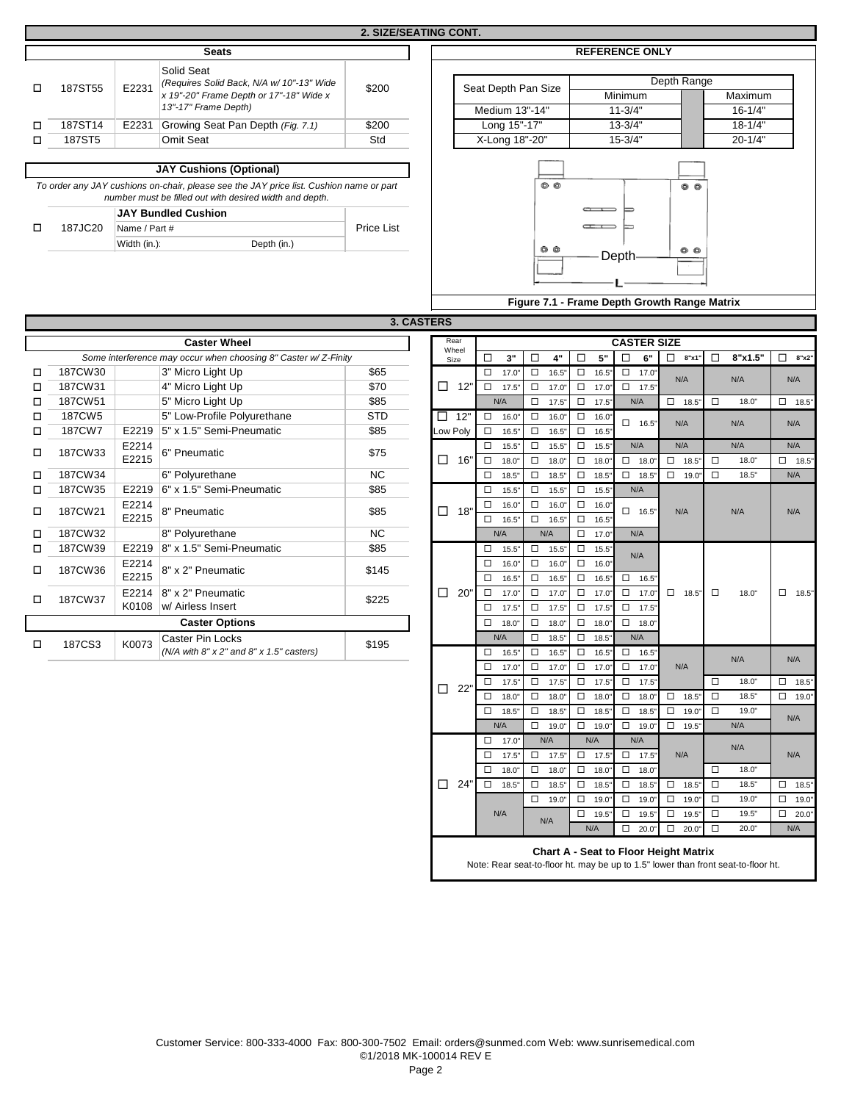|        |         |               |                                                                                                                                                    | <b>2. SIZE/SEATING CONT.</b> |                     |                        |             |                        |
|--------|---------|---------------|----------------------------------------------------------------------------------------------------------------------------------------------------|------------------------------|---------------------|------------------------|-------------|------------------------|
|        |         |               | <b>Seats</b>                                                                                                                                       |                              |                     | <b>REFERENCE ONLY</b>  |             |                        |
| $\Box$ | 187ST55 | E2231         | Solid Seat<br>(Requires Solid Back, N/A w/ 10"-13" Wide                                                                                            | \$200                        | Seat Depth Pan Size |                        | Depth Range |                        |
|        |         |               | x 19"-20" Frame Depth or 17"-18" Wide x<br>13"-17" Frame Depth)                                                                                    |                              | Medium 13"-14"      | Minimum<br>$11 - 3/4"$ |             | Maximum<br>$16 - 1/4"$ |
| $\Box$ | 187ST14 | E2231         | Growing Seat Pan Depth (Fig. 7.1)                                                                                                                  | \$200                        | Long 15"-17"        | $13 - 3/4"$            |             | $18 - 1/4"$            |
| □      | 187ST5  |               | Omit Seat                                                                                                                                          | Std                          | X-Long 18"-20"      | $15 - 3/4"$            |             | $20 - 1/4"$            |
|        |         |               | <b>JAY Cushions (Optional)</b>                                                                                                                     |                              |                     |                        |             |                        |
|        |         |               | To order any JAY cushions on-chair, please see the JAY price list. Cushion name or part<br>number must be filled out with desired width and depth. |                              | $\circ$ $\circ$     |                        | 00          |                        |
|        |         |               | <b>JAY Bundled Cushion</b>                                                                                                                         |                              |                     |                        |             |                        |
| □      | 187JC20 | Name / Part # |                                                                                                                                                    | <b>Price List</b>            |                     | $\overline{a}$         |             |                        |
|        |         | Width (in.):  | Depth (in.)                                                                                                                                        |                              | ൈര                  |                        | <b>AA</b>   |                        |

### **REFERENCE ONLY**



|        |         |       |                                                                | 3. UASIERS     |               |        |       |        |       |        |       |        |                    |        |       |        |
|--------|---------|-------|----------------------------------------------------------------|----------------|---------------|--------|-------|--------|-------|--------|-------|--------|--------------------|--------|-------|--------|
|        |         |       | <b>Caster Wheel</b>                                            |                | Rear<br>Wheel |        |       |        |       |        |       |        | <b>CASTER SIZE</b> |        |       |        |
|        |         |       | Some interference may occur when choosing 8" Caster w/Z-Finity |                | Size          | □      | 3"    |        | 4"    | ப      | 5"    | □      | 6"                 | □      | 8"x1" |        |
| $\Box$ | 187CW30 |       | 3" Micro Light Up                                              | \$65           |               | □      | 17.0  | ◻      | 16.5" | □      | 16.5" | $\Box$ | 17.0"              |        | N/A   |        |
| ◻      | 187CW31 |       | 4" Micro Light Up                                              | \$70           | □<br>12"      | $\Box$ | 17.5' | $\Box$ | 17.0' | $\Box$ | 17.0" | $\Box$ | 17.5"              |        |       |        |
| ◻      | 187CW51 |       | 5" Micro Light Up                                              | \$85           |               |        | N/A   | $\Box$ | 17.5" | □      | 17.5" |        | N/A                | $\Box$ | 18.5" | $\Box$ |
| П      | 187CW5  |       | 5" Low-Profile Polyurethane                                    | <b>STD</b>     | 12"<br>П      | □      | 16.0  | $\Box$ | 16.0  | $\Box$ | 16.0" | □      | 16.5"              |        | N/A   |        |
| п      | 187CW7  | E2219 | 5" x 1.5" Semi-Pneumatic                                       | \$85           | Low Poly      | □      | 16.5' | □      | 16.5" | $\Box$ | 16.5" |        |                    |        |       |        |
| □      | 187CW33 | E2214 | 6" Pneumatic                                                   | \$75           |               | $\Box$ | 15.5' | $\Box$ | 15.5" | □      | 15.5" |        | N/A                |        | N/A   |        |
|        |         | E2215 |                                                                |                | □<br>16"      | □      | 18.0  | $\Box$ | 18.0  | $\Box$ | 18.0  | $\Box$ | 18.0'              | $\Box$ | 18.5" | $\Box$ |
| п      | 187CW34 |       | 6" Polyurethane                                                | N <sub>C</sub> |               | □      | 18.5' | $\Box$ | 18.5' | $\Box$ | 18.5" | $\Box$ | 18.5'              | $\Box$ | 19.0" | $\Box$ |
| п      | 187CW35 | E2219 | 6" x 1.5" Semi-Pneumatic                                       | \$85           |               | □      | 15.5' | $\Box$ | 15.5" | $\Box$ | 15.5" |        | N/A                |        |       |        |
| п      | 187CW21 | E2214 | 8" Pneumatic                                                   | \$85           | 18"<br>□      | □      | 16.0  | $\Box$ | 16.0  | □      | 16.0" | □      | 16.5"              |        | N/A   |        |
|        |         | E2215 |                                                                |                |               | □      | 16.5  | $\Box$ | 16.5" | $\Box$ | 16.5" |        |                    |        |       |        |
|        | 187CW32 |       | 8" Polyurethane                                                | N <sub>C</sub> |               |        | N/A   |        | N/A   | $\Box$ | 17.0" |        | N/A                |        |       |        |
| п      | 187CW39 | E2219 | 8" x 1.5" Semi-Pneumatic                                       | \$85           |               | □      | 15.5' | $\Box$ | 15.5" | $\Box$ | 15.5" |        | N/A                |        |       |        |
| п      | 187CW36 | E2214 | 8" x 2" Pneumatic                                              | \$145          |               | □      | 16.0  | $\Box$ | 16.0' | $\Box$ | 16.0" |        |                    |        |       |        |
|        |         | E2215 |                                                                |                |               | □      | 16.5' | $\Box$ | 16.5" | $\Box$ | 16.5" | $\Box$ | 16.5"              |        |       |        |
| □      | 187CW37 | E2214 | 8" x 2" Pneumatic                                              | \$225          | □<br>20"      | □      | 17.0  | □      | 17.0" | $\Box$ | 17.0" | $\Box$ | 17.0"              | $\Box$ | 18.5" | $\Box$ |
|        |         | K0108 | w/ Airless Insert                                              |                |               | □      | 17.5' | $\Box$ | 17.5" | $\Box$ | 17.5" | $\Box$ | 17.5"              |        |       |        |
|        |         |       | <b>Caster Options</b>                                          |                |               | $\Box$ | 18.0  | $\Box$ | 18.0' | $\Box$ | 18.0" | $\Box$ | 18.0"              |        |       |        |
|        | 187CS3  | K0073 | Caster Pin Locks                                               | \$195          |               |        | N/A   | □      | 18.5" | $\Box$ | 18.5" |        | N/A                |        |       |        |
| □      |         |       | ( $N/A$ with $8" \times 2"$ and $8" \times 1.5"$ casters)      |                |               | □      | 16.5" | □      | 16.5" | □      | 16.5" | $\Box$ | 16.5"              |        |       |        |

|   |               |                |                                                                | <b>3. CASTERS</b> |               |                                   |                                    |                                   |        |                     |                                              |        |              |                     |
|---|---------------|----------------|----------------------------------------------------------------|-------------------|---------------|-----------------------------------|------------------------------------|-----------------------------------|--------|---------------------|----------------------------------------------|--------|--------------|---------------------|
|   |               |                | <b>Caster Wheel</b>                                            |                   | Rear          |                                   |                                    |                                   |        | <b>CASTER SIZE</b>  |                                              |        |              |                     |
|   |               |                | Some interference may occur when choosing 8" Caster w/Z-Finity |                   | Wheel<br>Size | $\Box$<br>3"                      | $\Box$<br>4"                       | $\Box$<br>$5"$                    | $\Box$ | 6"                  | $\Box$ 8"x1"                                 | $\Box$ | 8"x1.5"      | $\Box$<br>8"x2"     |
| □ | 187CW30       |                | 3" Micro Light Up                                              | \$65              |               | □<br>17.0"                        | $\Box$ 16.5"                       | $\Box$<br>16.5'                   | $\Box$ | 17.0"               |                                              |        |              |                     |
| □ | 187CW31       |                | 4" Micro Light Up                                              | \$70              | $\Box$ 12'    | $\Box$<br>17.5"                   | $\Box$ 17.0                        | $\Box$<br>17.0                    |        | $\Box$ 17.5"        | N/A                                          |        | N/A          | N/A                 |
| □ | 187CW51       |                | 5" Micro Light Up                                              | \$85              |               | N/A                               | $\Box$<br>$17.5^{\circ}$           | $\Box$<br>17.5'                   |        | N/A                 | $\Box$ 18.5"                                 | $\Box$ | 18.0"        | $\Box$ 18.5"        |
| □ | 187CW5        |                | 5" Low-Profile Polyurethane                                    | <b>STD</b>        | $\Box$ 12"    | $\Box$<br>16.0"                   | $\Box$<br>16.0"                    | $\Box$<br>16.0                    |        |                     |                                              |        |              |                     |
| □ | <b>187CW7</b> |                | E2219 5" x 1.5" Semi-Pneumatic                                 | \$85              | Low Poly      | $\Box$<br>16.5"                   | $\Box$<br>16.5                     | $\Box$<br>16.5'                   |        | $\Box$ 16.5"        | N/A                                          |        | N/A          | N/A                 |
| □ | 187CW33       | E2214<br>E2215 | 6" Pneumatic                                                   | \$75              | $\Box$ 16"    | $\Box$<br>15.5"<br>$\Box$<br>18.0 | $\Box$<br>15.5"<br>$\Box$<br>18.0' | $\Box$<br>15.5"<br>$\Box$<br>18.0 |        | N/A<br>$\Box$ 18.0" | N/A<br>$\Box$ 18.5"                          | $\Box$ | N/A<br>18.0" | N/A<br>$\Box$ 18.5" |
| □ | 187CW34       |                | 6" Polyurethane                                                | <b>NC</b>         |               | $\Box$<br>18.5"                   | $\Box$<br>18.5'                    | 18.5'<br>$\Box$                   | $\Box$ | 18.5"               | $\Box$<br>19.0"                              | $\Box$ | 18.5"        | N/A                 |
| □ | 187CW35       | E2219          | 6" x 1.5" Semi-Pneumatic                                       | \$85              |               | $\Box$<br>15.5"                   | $\Box$<br>$15.5^{\circ}$           | $\Box$<br>15.5"                   |        | N/A                 |                                              |        |              |                     |
|   |               | E2214          |                                                                |                   |               | $\Box$<br>16.0"                   | $\Box$<br>16.0"                    | $\Box$<br>16.0                    |        |                     |                                              |        |              |                     |
| □ | 187CW21       | E2215          | 8" Pneumatic                                                   | \$85              | $\Box$ 18"    | □<br>16.5"                        | $\Box$<br>16.5                     | $\Box$<br>16.5"                   |        | $\Box$ 16.5"        | N/A                                          |        | N/A          | N/A                 |
| □ | 187CW32       |                | 8" Polyurethane                                                | NC                |               | N/A                               | N/A                                | 17.0"<br>$\Box$                   |        | N/A                 |                                              |        |              |                     |
| □ | 187CW39       | E2219          | 8" x 1.5" Semi-Pneumatic                                       | \$85              |               | 15.5"<br>□                        | $\Box$ 15.5                        | $\Box$<br>15.5"                   |        |                     |                                              |        |              |                     |
| □ | 187CW36       | E2214          |                                                                |                   |               | $\Box$<br>16.0"                   | $\Box$ 16.0                        | $\Box$<br>16.0"                   |        | N/A                 |                                              |        |              |                     |
|   |               | E2215          | 8" x 2" Pneumatic                                              | \$145             |               | $\Box$<br>16.5"                   | $\Box$ 16.5"                       | $\Box$<br>16.5"                   |        | $\Box$ 16.5"        |                                              |        |              |                     |
| □ | 187CW37       | E2214          | 8" x 2" Pneumatic                                              | \$225             | 20'<br>□      | $\Box$<br>17.0"                   | $\Box$ 17.0                        | $\Box$<br>17.0                    | $\Box$ | 17.0"               | $\Box$ 18.5"                                 | $\Box$ | 18.0"        | $\Box$ 18.5"        |
|   |               | K0108          | w/ Airless Insert                                              |                   |               | $\Box$<br>17.5"                   | $\Box$ 17.5"                       | $\Box$<br>17.5                    | $\Box$ | 17.5"               |                                              |        |              |                     |
|   |               |                | <b>Caster Options</b>                                          |                   |               | $\Box$<br>18.0"                   | $\Box$<br>18.0'                    | $\Box$<br>18.0                    |        | $\Box$ 18.0"        |                                              |        |              |                     |
| П | 187CS3        | K0073          | <b>Caster Pin Locks</b>                                        | \$195             |               | N/A                               | $\Box$<br>18.5'                    | $\Box$<br>18.5'                   |        | N/A                 |                                              |        |              |                     |
|   |               |                | $(N/A$ with $8" \times 2"$ and $8" \times 1.5"$ casters)       |                   |               | □<br>16.5"                        | $\Box$ 16.5"                       | $\Box$<br>16.5"                   | $\Box$ | 16.5"               |                                              |        | N/A          | N/A                 |
|   |               |                |                                                                |                   |               | $\Box$<br>17.0"                   | $\Box$<br>17.0                     | $\Box$<br>17.0                    | $\Box$ | 17.0"               | N/A                                          |        |              |                     |
|   |               |                |                                                                |                   | $\Box$<br>22' | 17.5"<br>$\Box$                   | $\Box$<br>$17.5^{\circ}$           | $\Box$<br>17.5"                   | $\Box$ | 17.5"               |                                              | $\Box$ | 18.0"        | □<br>18.5"          |
|   |               |                |                                                                |                   |               | 18.0"<br>$\Box$                   | 18.0"<br>$\Box$                    | 18.0<br>$\Box$                    | $\Box$ | 18.0"               | $\Box$ 18.5"                                 | $\Box$ | 18.5"        | $\Box$ 19.0"        |
|   |               |                |                                                                |                   |               | □<br>18.5"                        | $\Box$ 18.5"                       | $\Box$<br>18.5                    | $\Box$ | 18.5"               | $\Box$ 19.0"                                 | □      | 19.0"        | N/A                 |
|   |               |                |                                                                |                   |               | N/A                               | $\Box$ 19.0"                       | $\Box$ 19.0                       |        | $\Box$ 19.0"        | $\Box$ 19.5"                                 |        | N/A          |                     |
|   |               |                |                                                                |                   |               | $\Box$<br>17.0"                   | N/A                                | N/A                               |        | N/A                 |                                              |        | N/A          |                     |
|   |               |                |                                                                |                   |               | $\Box$<br>17.5"                   | $\Box$ 17.5                        | $\Box$ 17.5                       |        | $\Box$ 17.5"        | N/A                                          |        |              | N/A                 |
|   |               |                |                                                                |                   |               | 18.0"<br>$\Box$                   | $\Box$ 18.0"                       | $\Box$ 18.0                       | $\Box$ | 18.0"               |                                              | □      | 18.0"        |                     |
|   |               |                |                                                                |                   | $\Box$<br>24" | $\Box$<br>18.5"                   | $\Box$<br>18.5"                    | $\Box$<br>18.5'                   | $\Box$ | 18.5"               | $\Box$ 18.5"                                 | $\Box$ | 18.5"        | $\Box$<br>18.5"     |
|   |               |                |                                                                |                   |               |                                   | $\Box$ 19.0'                       | $\Box$<br>19.0                    | $\Box$ | 19.0"               | $\Box$<br>19.0                               | $\Box$ | 19.0"        | $\Box$ 19.0"        |
|   |               |                |                                                                |                   |               | N/A                               | N/A                                | $\Box$ 19.5                       | $\Box$ | 19.5"               | $\Box$<br>19.5"                              | $\Box$ | 19.5"        | $\Box$ 20.0"        |
|   |               |                |                                                                |                   |               |                                   |                                    | N/A                               |        | $\Box$ 20.0"        | $\Box$ 20.0"                                 | □      | 20.0"        | N/A                 |
|   |               |                |                                                                |                   |               |                                   |                                    |                                   |        |                     | <b>Chart A - Seat to Floor Height Matrix</b> |        |              |                     |

Note: Rear seat-to-floor ht. may be up to 1.5" lower than front seat-to-floor ht.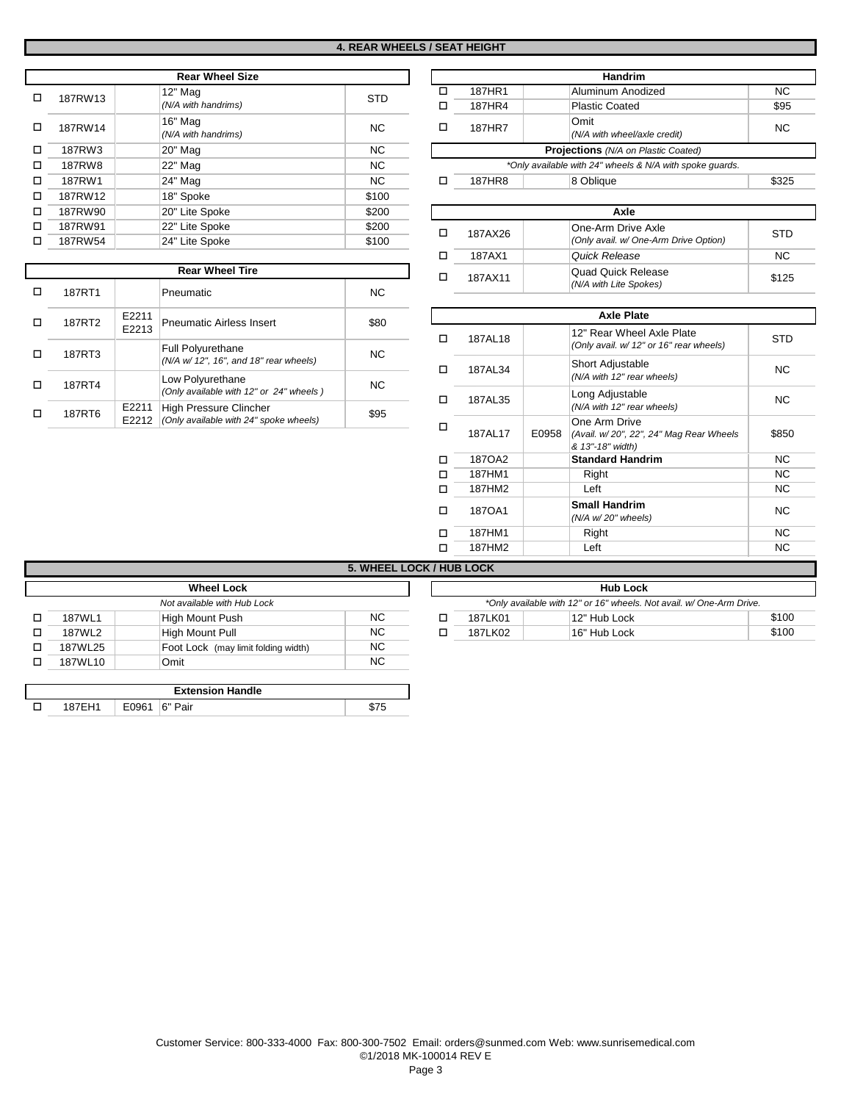|   |               | <b>Rear Wheel Size</b>                         |        |
|---|---------------|------------------------------------------------|--------|
| п | 187RW13       | $12"$ Mag<br><b>STD</b><br>(N/A with handrims) | □<br>□ |
| п | 187RW14       | 16" Mag<br><b>NC</b><br>(N/A with handrims)    | □      |
| п | 187RW3        | <b>NC</b><br>20" Mag                           |        |
| п | <b>187RW8</b> | <b>NC</b><br>22" Mag                           |        |
| п | 187RW1        | 24" Mag<br><b>NC</b>                           | п      |
| п | 187RW12       | 18" Spoke<br>\$100                             |        |
| п | 187RW90       | 20" Lite Spoke<br>\$200                        |        |
| п | 187RW91       | 22" Lite Spoke<br>\$200                        | П      |
| п | 187RW54       | 24" Lite Spoke<br>\$100                        |        |
|   |               |                                                |        |

|        |                | <b>Rear Wheel Tire</b>                                                  |      |
|--------|----------------|-------------------------------------------------------------------------|------|
| 187RT1 |                | Pneumatic                                                               | NC.  |
| 187RT2 | E2211<br>E2213 | <b>Pneumatic Airless Insert</b>                                         | \$80 |
| 187RT3 |                | <b>Full Polyurethane</b><br>(N/A w/ 12", 16", and 18" rear wheels)      | NC.  |
| 187RT4 |                | Low Polyurethane<br>(Only available with 12" or 24" wheels)             | NC.  |
| 187RT6 | E2211<br>E2212 | <b>High Pressure Clincher</b><br>(Only available with 24" spoke wheels) | \$95 |

|               | <b>Handrim</b>                                           |       |
|---------------|----------------------------------------------------------|-------|
| 187HR1        | Aluminum Anodized                                        | NC.   |
| 187HR4        | <b>Plastic Coated</b>                                    | \$95  |
| 187HR7        | Omit<br>(N/A with wheel/axle credit)                     | NC.   |
|               | <b>Projections</b> (N/A on Plastic Coated)               |       |
|               | *Only available with 24" wheels & N/A with spoke quards. |       |
| <b>187HR8</b> | 8 Oblique                                                | \$325 |

| \$200  |         | Axle                                  |            |
|--------|---------|---------------------------------------|------------|
| \$200  | 187AX26 | One-Arm Drive Axle                    | <b>STD</b> |
| \$100  |         | (Only avail. w/ One-Arm Drive Option) |            |
|        | 187AX1  | Quick Release                         | NC.        |
|        | 187AX11 | <b>Quad Quick Release</b>             | \$125      |
| $\sim$ |         | (N/A with Lite Spokes)                |            |

|   |         |       | <b>Axle Plate</b>                                                            |           |
|---|---------|-------|------------------------------------------------------------------------------|-----------|
|   | 187AL18 |       | 12" Rear Wheel Axle Plate<br>(Only avail. w/ 12" or 16" rear wheels)         | STD       |
|   | 187AL34 |       | Short Adjustable<br>(N/A with 12" rear wheels)                               | NC.       |
| п | 187AL35 |       | Long Adjustable<br>(N/A with 12" rear wheels)                                | NC.       |
| п | 187AL17 | E0958 | One Arm Drive<br>(Avail. w/20", 22", 24" Mag Rear Wheels<br>& 13"-18" width) | \$850     |
|   | 1870A2  |       | <b>Standard Handrim</b>                                                      | NC.       |
|   | 187HM1  |       | Right                                                                        | NC.       |
|   | 187HM2  |       | Left                                                                         | NC.       |
|   | 1870A1  |       | <b>Small Handrim</b><br>$(N/A \ w/20"$ wheels)                               | <b>NC</b> |
|   | 187HM1  |       | Right                                                                        | NC.       |
|   | 187HM2  |       | Left                                                                         | ΝC        |

## **5. WHEEL LOCK / HUB LOCK**

|         | <b>Wheel Lock</b>                   |           |         | <b>Hub Lock</b>                                                      |       |
|---------|-------------------------------------|-----------|---------|----------------------------------------------------------------------|-------|
|         | Not available with Hub Lock         |           |         | *Only available with 12" or 16" wheels. Not avail. w/ One-Arm Drive. |       |
| 187WL1  | High Mount Push                     | <b>NC</b> | 187LK01 | 12" Hub Lock                                                         | \$100 |
| 187WL2  | High Mount Pull                     | NC.       | 187LK02 | 16" Hub Lock                                                         | \$100 |
| 187WL25 | Foot Lock (may limit folding width) | NC.       |         |                                                                      |       |
| 187WL10 | Omit                                | NC.       |         |                                                                      |       |

|  |       | <b>Extension Handle</b> |  |
|--|-------|-------------------------|--|
|  | E0961 | 6" Pair                 |  |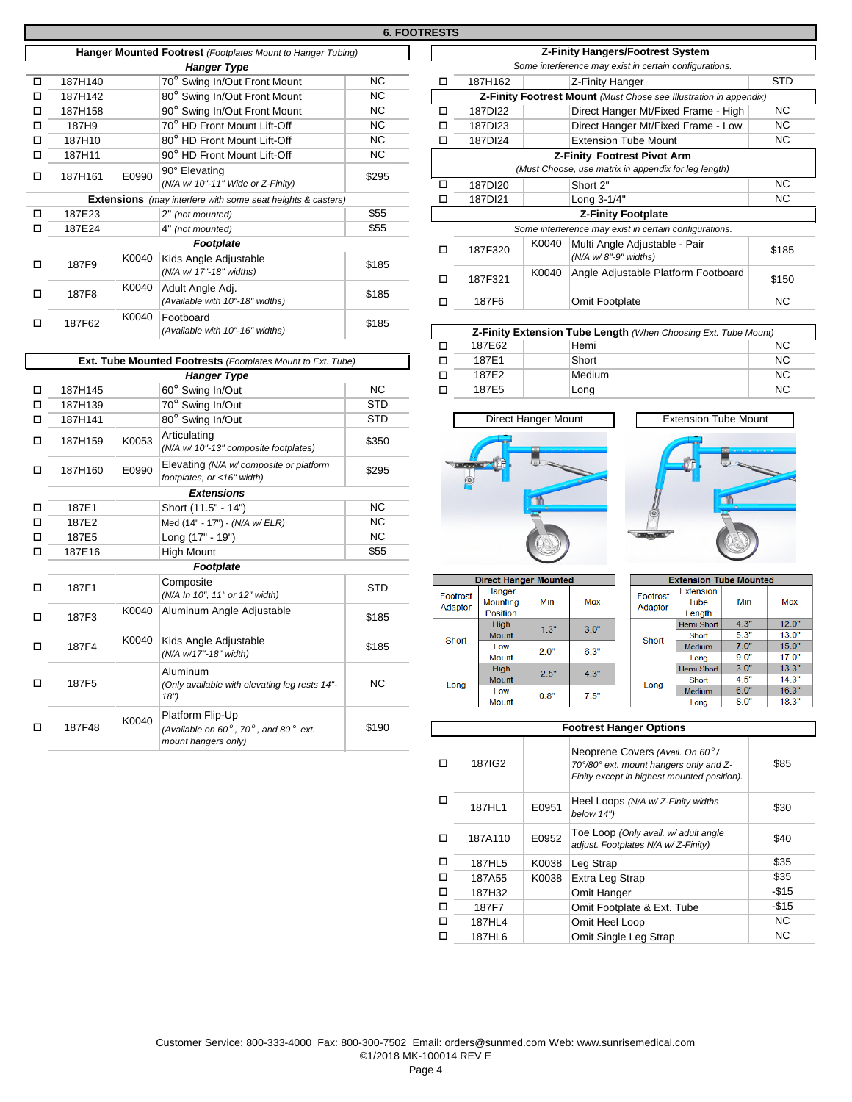|         |       | <b>Hanger Type</b>                                  |                                                                                                                                   |
|---------|-------|-----------------------------------------------------|-----------------------------------------------------------------------------------------------------------------------------------|
| 187H140 |       | 70° Swing In/Out Front Mount                        | <b>NC</b>                                                                                                                         |
| 187H142 |       | 80° Swing In/Out Front Mount                        | NC.                                                                                                                               |
| 187H158 |       | 90° Swing In/Out Front Mount                        | NC.                                                                                                                               |
| 187H9   |       | 70° HD Front Mount Lift-Off                         | <b>NC</b>                                                                                                                         |
| 187H10  |       | 80° HD Front Mount Lift-Off                         | <b>NC</b>                                                                                                                         |
| 187H11  |       | 90° HD Front Mount Lift-Off                         | NC.                                                                                                                               |
| 187H161 | E0990 | 90° Elevating<br>(N/A w/ 10"-11" Wide or Z-Finity)  | \$295                                                                                                                             |
|         |       |                                                     |                                                                                                                                   |
| 187E23  |       | 2" (not mounted)                                    | \$55                                                                                                                              |
| 187E24  |       | 4" (not mounted)                                    | \$55                                                                                                                              |
|         |       | Footplate                                           |                                                                                                                                   |
| 187F9   | K0040 | Kids Angle Adjustable<br>(N/A w/ 17"-18" widths)    | \$185                                                                                                                             |
| 187F8   | K0040 | Adult Angle Adj.<br>(Available with 10"-18" widths) | \$185                                                                                                                             |
| 187F62  | K0040 | Footboard<br>(Available with 10"-16" widths)        | \$185                                                                                                                             |
|         |       |                                                     | Hanger Mounted Footrest (Footplates Mount to Hanger Tubing)<br><b>Extensions</b> (may interfere with some seat heights & casters) |

|   |                   |       | Ext. Tube Mounted Footrests (Footplates Mount to Ext. Tube)                                            |            |
|---|-------------------|-------|--------------------------------------------------------------------------------------------------------|------------|
|   |                   |       | <b>Hanger Type</b>                                                                                     |            |
| п | 187H145           |       | 60° Swing In/Out                                                                                       | <b>NC</b>  |
| п | 187H139           |       | 70° Swing In/Out                                                                                       | <b>STD</b> |
| п | 187H141           |       | 80° Swing In/Out                                                                                       | <b>STD</b> |
| □ | 187H159           | K0053 | Articulating<br>(N/A w/ 10"-13" composite footplates)                                                  | \$350      |
| □ | 187H160           | E0990 | Elevating (N/A w/ composite or platform<br>footplates, or <16" width)                                  | \$295      |
|   |                   |       | <b>Extensions</b>                                                                                      |            |
| п | 187E1             |       | Short (11.5" - 14")                                                                                    | <b>NC</b>  |
| п | 187E2             |       | Med (14" - 17") - (N/A w/ ELR)                                                                         | <b>NC</b>  |
| п | 187E5             |       | Long (17" - 19")                                                                                       | <b>NC</b>  |
| □ | 187E16            |       | <b>High Mount</b>                                                                                      | \$55       |
|   |                   |       | Footplate                                                                                              |            |
| □ | 187F1             |       | Composite<br>(N/A In 10", 11" or 12" width)                                                            | <b>STD</b> |
| п | 187F3             | K0040 | Aluminum Angle Adjustable                                                                              | \$185      |
| □ | 187F4             | K0040 | Kids Angle Adjustable<br>(N/A w/17"-18" width)                                                         | \$185      |
| □ | 187F <sub>5</sub> |       | Aluminum<br>(Only available with elevating leg rests 14"-<br>18")                                      | <b>NC</b>  |
| п | 187F48            | K0040 | Platform Flip-Up<br>(Available on $60^\circ$ , $70^\circ$ , and $80^\circ$ ext.<br>mount hangers only) | \$190      |

| <b>6. FOOTRESTS</b> |   |                                                      |       |                                                                   |       |  |
|---------------------|---|------------------------------------------------------|-------|-------------------------------------------------------------------|-------|--|
|                     |   |                                                      |       | <b>Z-Finity Hangers/Footrest System</b>                           |       |  |
|                     |   |                                                      |       | Some interference may exist in certain configurations.            |       |  |
|                     | п | 187H162                                              |       | Z-Finity Hanger                                                   | STD   |  |
|                     |   |                                                      |       | Z-Finity Footrest Mount (Must Chose see Illustration in appendix) |       |  |
|                     | п | 187DI22                                              |       | Direct Hanger Mt/Fixed Frame - High                               | NC.   |  |
| Ċ                   | П | 187DI23                                              |       | Direct Hanger Mt/Fixed Frame - Low                                | NC.   |  |
| C                   | ◻ | 187DI24                                              |       | <b>Extension Tube Mount</b>                                       | NC.   |  |
| C                   |   |                                                      |       | <b>Z-Finity Footrest Pivot Arm</b>                                |       |  |
| 95                  |   | (Must Choose, use matrix in appendix for leg length) |       |                                                                   |       |  |
|                     | п | 187DI20                                              |       | Short 2"                                                          | NC.   |  |
|                     |   | 187DI21                                              |       | Long 3-1/4"                                                       | NC.   |  |
| 5                   |   |                                                      |       | <b>Z-Finity Footplate</b>                                         |       |  |
| 5                   |   |                                                      |       | Some interference may exist in certain configurations.            |       |  |
| 35                  | п | 187F320                                              | K0040 | Multi Angle Adjustable - Pair<br>(N/A w/8"-9" widths)             | \$185 |  |
| 35                  | п | 187F321                                              | K0040 | Angle Adjustable Platform Footboard                               | \$150 |  |
|                     |   | 187F6                                                |       | Omit Footplate                                                    | NC    |  |
|                     |   |                                                      |       |                                                                   |       |  |

| Z-Finity Extension Tube Length (When Choosing Ext. Tube Mount) |  |        |           |  |
|----------------------------------------------------------------|--|--------|-----------|--|
| 187E62                                                         |  | Hemi   | <b>NC</b> |  |
| 187E1                                                          |  | Short  | NC.       |  |
| 187F2                                                          |  | Medium | <b>NC</b> |  |
| 187F <sub>5</sub>                                              |  | Long   | NC.       |  |









|          | <b>Direct Hanger Mounted</b> |         |      |  |  |  |
|----------|------------------------------|---------|------|--|--|--|
| Footrest | Hanger                       |         |      |  |  |  |
| Adaptor  | <b>Mounting</b>              | Min     | Max  |  |  |  |
|          | Position                     |         |      |  |  |  |
|          | <b>High</b>                  | $-1.3"$ | 30"  |  |  |  |
| Short    | <b>Mount</b>                 |         |      |  |  |  |
|          | Low                          | 2.0"    | 6.3" |  |  |  |
|          | Mount                        |         |      |  |  |  |
|          | <b>High</b>                  | $-2.5"$ | 4.3" |  |  |  |
| Long     | <b>Mount</b>                 |         |      |  |  |  |
|          | I ow                         | 0.8"    | 7.5" |  |  |  |
|          | <b>Mount</b>                 |         |      |  |  |  |

|  | <b>Extension Tube Mounted</b> |                   |      |       |  |  |  |
|--|-------------------------------|-------------------|------|-------|--|--|--|
|  | Footrest                      | <b>Extension</b>  |      |       |  |  |  |
|  | Adaptor                       | Tube              | Min  | Max   |  |  |  |
|  |                               | Length            |      |       |  |  |  |
|  |                               | <b>Hemi Short</b> | 4.3" | 12.0" |  |  |  |
|  | Short                         | Short             | 5.3" | 13.0" |  |  |  |
|  |                               | Medium            | 7.0" | 15.0" |  |  |  |
|  |                               | Long              | 90"  | 17.0" |  |  |  |
|  |                               | Hemi Short        | 30"  | 13.3" |  |  |  |
|  | Long                          | Short             | 4.5" | 14.3" |  |  |  |
|  |                               | Medium            | 6.0" | 16.3" |  |  |  |
|  |                               | Long              | 8.0" | 18.3" |  |  |  |

|   | <b>Footrest Hanger Options</b> |       |                                                                                                                          |           |  |  |
|---|--------------------------------|-------|--------------------------------------------------------------------------------------------------------------------------|-----------|--|--|
|   | 187IG2                         |       | Neoprene Covers (Avail. On 60°/<br>70°/80° ext. mount hangers only and Z-<br>Finity except in highest mounted position). | \$85      |  |  |
| п | 187HL1                         | E0951 | Heel Loops (N/A w/Z-Finity widths<br>below 14")                                                                          | \$30      |  |  |
|   | 187A110                        | E0952 | Toe Loop (Only avail. w/ adult angle<br>adjust. Footplates N/A w/Z-Finity)                                               | \$40      |  |  |
| п | 187HL5                         | K0038 | Leg Strap                                                                                                                | \$35      |  |  |
| п | 187A55                         | K0038 | Extra Leg Strap                                                                                                          | \$35      |  |  |
| п | 187H32                         |       | Omit Hanger                                                                                                              | $-$15$    |  |  |
| п | 187F7                          |       | Omit Footplate & Ext. Tube                                                                                               | $-$15$    |  |  |
| П | 187HL4                         |       | Omit Heel Loop                                                                                                           | <b>NC</b> |  |  |
|   | 187HL6                         |       | Omit Single Leg Strap                                                                                                    | <b>NC</b> |  |  |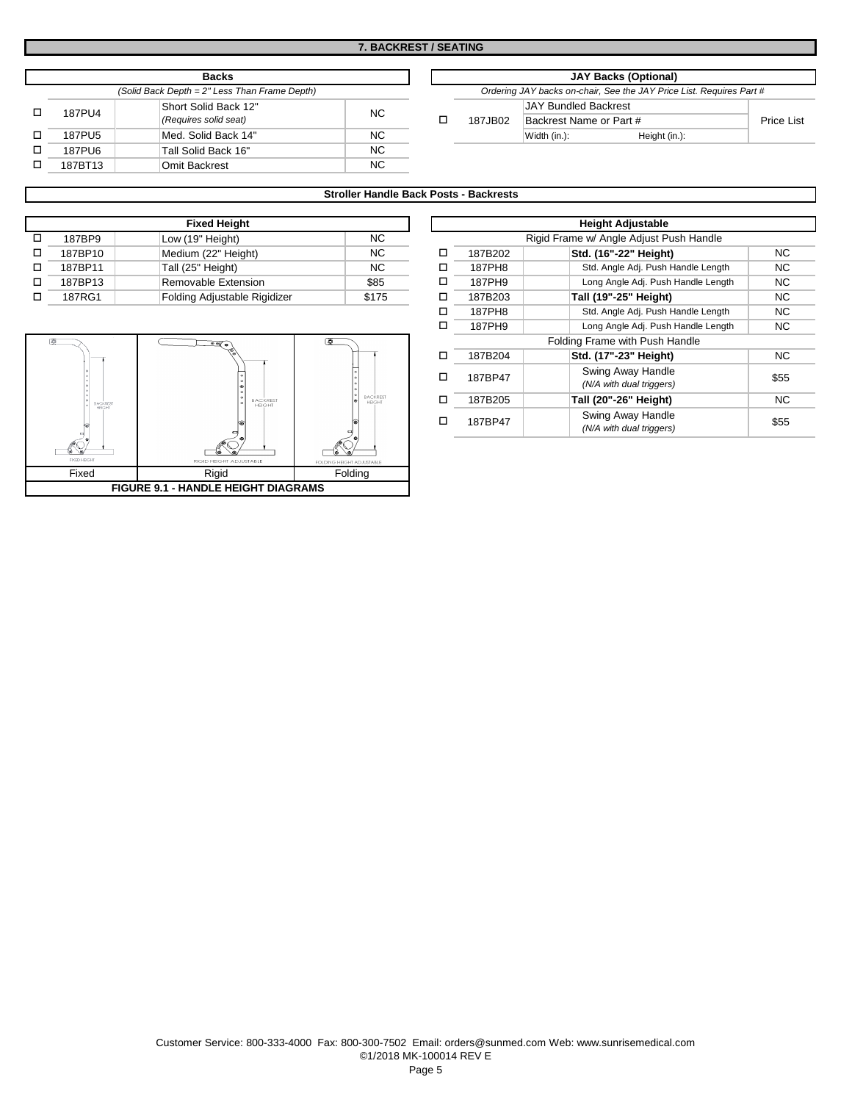|         | <b>Backs</b>                                  |     |
|---------|-----------------------------------------------|-----|
|         | (Solid Back Depth = 2" Less Than Frame Depth) |     |
| 187PU4  | Short Solid Back 12"<br>(Requires solid seat) | NC. |
| 187PU5  | Med. Solid Back 14"                           | NC. |
| 187PU6  | Tall Solid Back 16"                           | NC. |
| 187BT13 | <b>Omit Backrest</b>                          | NC. |

| Backs                     |        |  | <b>JAY Backs (Optional)</b> |                         |                                                                      |            |
|---------------------------|--------|--|-----------------------------|-------------------------|----------------------------------------------------------------------|------------|
| 2" Less Than Frame Depth) |        |  |                             |                         | Ordering JAY backs on-chair, See the JAY Price List. Requires Part # |            |
| lid Back 12"              | NC.    |  |                             | JAY Bundled Backrest    |                                                                      |            |
| solid seat)               |        |  | 187JB02                     | Backrest Name or Part # |                                                                      | Price List |
| lid Back 14"              | NC.    |  |                             | Width (in.):            | Height (in.):                                                        |            |
| $1.7 - 1.40$              | $\sim$ |  |                             |                         |                                                                      |            |

### **Stroller Handle Back Posts - Backrests**

|         | <b>Fixed Height</b>          |       |   |
|---------|------------------------------|-------|---|
| 187BP9  | Low (19" Height)             | NC.   |   |
| 187BP10 | Medium (22" Height)          | NC.   | п |
| 187BP11 | Tall (25" Height)            | NC.   | п |
| 187BP13 | Removable Extension          | \$85  | п |
| 187RG1  | Folding Adjustable Rigidizer | \$175 | □ |



|                                         | <b>Height Adjustable</b> |                                               |           |  |  |  |
|-----------------------------------------|--------------------------|-----------------------------------------------|-----------|--|--|--|
| Rigid Frame w/ Angle Adjust Push Handle |                          |                                               |           |  |  |  |
| п                                       | 187B202                  | Std. (16"-22" Height)                         | NC.       |  |  |  |
|                                         | 187PH8                   | Std. Angle Adj. Push Handle Length            | NC.       |  |  |  |
|                                         | 187PH9                   | Long Angle Adj. Push Handle Length            | NC.       |  |  |  |
| п                                       | 187B203                  | Tall (19"-25" Height)                         | NC.       |  |  |  |
|                                         | 187PH8                   | Std. Angle Adj. Push Handle Length            | NC.       |  |  |  |
| п                                       | 187PH9                   | Long Angle Adj. Push Handle Length            | NC.       |  |  |  |
|                                         |                          | Folding Frame with Push Handle                |           |  |  |  |
|                                         | 187B204                  | Std. (17"-23" Height)                         | <b>NC</b> |  |  |  |
|                                         | 187BP47                  | Swing Away Handle<br>(N/A with dual triggers) | \$55      |  |  |  |
|                                         | 187B205                  | Tall (20"-26" Height)                         | NC.       |  |  |  |
|                                         | 187BP47                  | Swing Away Handle<br>(N/A with dual triggers) | \$55      |  |  |  |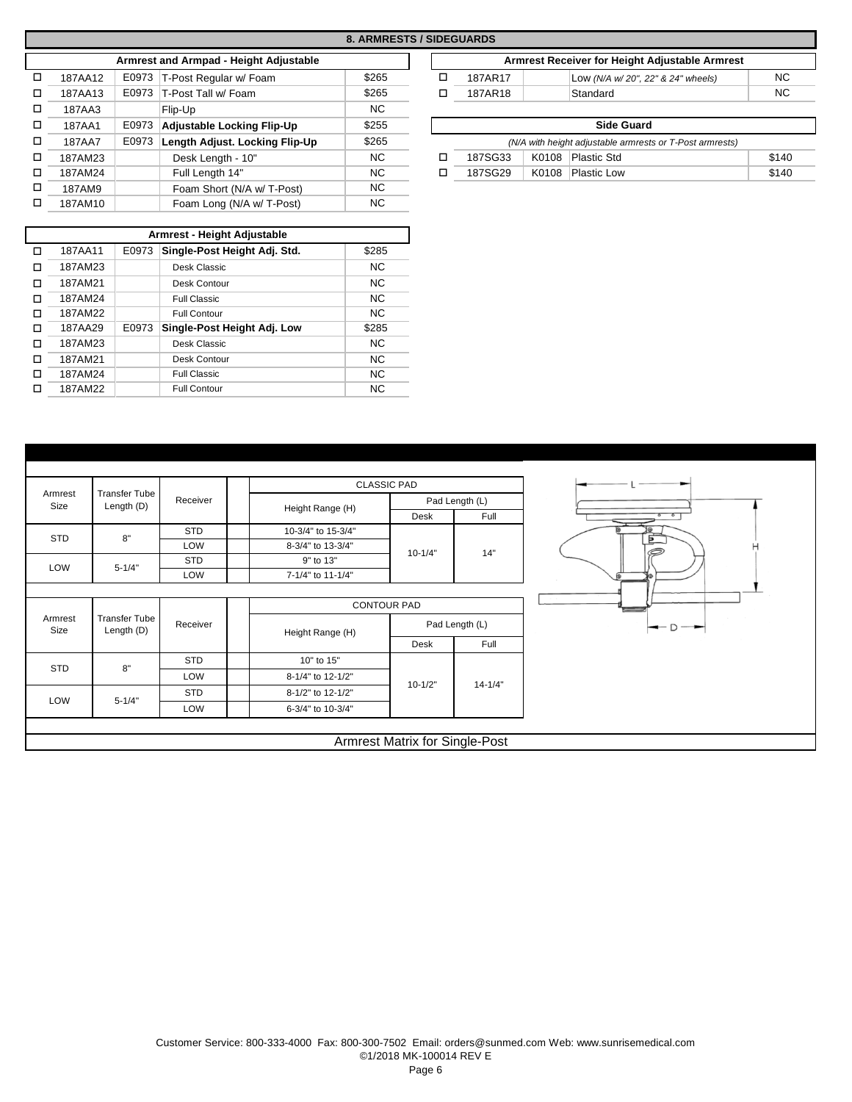|   |         |       |                                        | 8. ARMRESTS / SIDEGUARDS |   |                   |
|---|---------|-------|----------------------------------------|--------------------------|---|-------------------|
|   |         |       | Armrest and Armpad - Height Adjustable |                          |   |                   |
| □ | 187AA12 | E0973 | T-Post Regular w/ Foam                 | \$265                    | □ | <b>187AF</b>      |
| □ | 187AA13 | E0973 | T-Post Tall w/ Foam                    | \$265                    |   | <b>187AF</b>      |
| П | 187AA3  |       | Flip-Up                                | <b>NC</b>                |   |                   |
| □ | 187AA1  | E0973 | <b>Adjustable Locking Flip-Up</b>      | \$255                    |   |                   |
| П | 187AA7  | E0973 | Length Adjust. Locking Flip-Up         | \$265                    |   |                   |
| □ | 187AM23 |       | Desk Length - 10"                      | <b>NC</b>                | П | 187S <sub>C</sub> |
| □ | 187AM24 |       | Full Length 14"                        | <b>NC</b>                | п | 187SQ             |
| □ | 187AM9  |       | Foam Short (N/A w/ T-Post)             | NC.                      |   |                   |
| П | 187AM10 |       | Foam Long (N/A w/ T-Post)              | <b>NC</b>                |   |                   |

o<br>O<br>O

o o

o o

| Armrest - Height Adjustable |         |       |                              |           |  |  |
|-----------------------------|---------|-------|------------------------------|-----------|--|--|
| п                           | 187AA11 | E0973 | Single-Post Height Adj. Std. | \$285     |  |  |
|                             | 187AM23 |       | Desk Classic                 | NC.       |  |  |
|                             | 187AM21 |       | Desk Contour                 | NC.       |  |  |
|                             | 187AM24 |       | Full Classic                 | NC.       |  |  |
| П                           | 187AM22 |       | <b>Full Contour</b>          | <b>NC</b> |  |  |
|                             | 187AA29 | E0973 | Single-Post Height Adj. Low  | \$285     |  |  |
|                             | 187AM23 |       | Desk Classic                 | NC.       |  |  |
| п                           | 187AM21 |       | Desk Contour                 | NC.       |  |  |
|                             | 187AM24 |       | Full Classic                 | NC.       |  |  |
|                             | 187AM22 |       | <b>Full Contour</b>          | <b>NC</b> |  |  |

| / SIDEGUARDS |         |                                                |     |  |  |  |  |  |
|--------------|---------|------------------------------------------------|-----|--|--|--|--|--|
|              |         | Armrest Receiver for Height Adjustable Armrest |     |  |  |  |  |  |
|              | 187AR17 | Low (N/A w/20", 22" & 24" wheels)              | NC. |  |  |  |  |  |
| п            | 187AR18 | Standard                                       | NC. |  |  |  |  |  |
|              |         |                                                |     |  |  |  |  |  |

| <b>Side Guard</b>                                        |  |                   |       |  |  |  |  |  |
|----------------------------------------------------------|--|-------------------|-------|--|--|--|--|--|
| (N/A with height adjustable armrests or T-Post armrests) |  |                   |       |  |  |  |  |  |
| 187SG33                                                  |  | K0108 Plastic Std | \$140 |  |  |  |  |  |
| 187SG29                                                  |  | K0108 Plastic Low | \$140 |  |  |  |  |  |

|                 |                                    |            | <b>CLASSIC PAD</b> |                    |             |                               |
|-----------------|------------------------------------|------------|--------------------|--------------------|-------------|-------------------------------|
| Armrest<br>Size | <b>Transfer Tube</b><br>Length (D) | Receiver   |                    | Pad Length (L)     |             |                               |
|                 |                                    |            | Height Range (H)   | Desk               | Full        | $\circ$ $\circ$               |
| STD             | 8"                                 | <b>STD</b> | 10-3/4" to 15-3/4" |                    |             | Б                             |
|                 |                                    | LOW        | 8-3/4" to 13-3/4"  | $10 - 1/4"$        | 14"         | H                             |
| LOW             | $5 - 1/4"$                         | <b>STD</b> | 9" to 13"          |                    |             |                               |
|                 |                                    | LOW        | 7-1/4" to 11-1/4"  |                    |             |                               |
|                 |                                    |            |                    | <b>CONTOUR PAD</b> |             |                               |
| Armrest         | <b>Transfer Tube</b><br>Length (D) | Receiver   | Height Range (H)   | Pad Length (L)     |             | $\rightarrow$ D $\rightarrow$ |
| Size            |                                    |            |                    |                    |             |                               |
|                 |                                    |            |                    | Desk               | Full        |                               |
|                 |                                    | <b>STD</b> | 10" to 15"         |                    |             |                               |
| <b>STD</b>      | 8"                                 | LOW        | 8-1/4" to 12-1/2"  |                    |             |                               |
| LOW             | $5 - 1/4"$                         | <b>STD</b> | 8-1/2" to 12-1/2"  | $10 - 1/2"$        | $14 - 1/4"$ |                               |